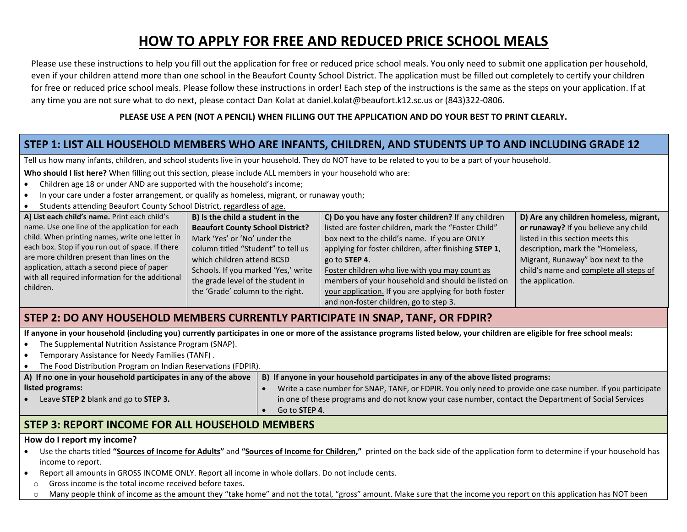# **HOW TO APPLY FOR FREE AND REDUCED PRICE SCHOOL MEALS**

Please use these instructions to help you fill out the application for free or reduced price school meals. You only need to submit one application per household, even if your children attend more than one school in the Beaufort County School District. The application must be filled out completely to certify your children for free or reduced price school meals. Please follow these instructions in order! Each step of the instructions is the same as the steps on your application. If at any time you are not sure what to do next, please contact Dan Kolat at daniel.kolat@beaufort.k12.sc.us or (843)322-0806.

#### **PLEASE USE A PEN (NOT A PENCIL) WHEN FILLING OUT THE APPLICATION AND DO YOUR BEST TO PRINT CLEARLY.**

## **STEP 1: LIST ALL HOUSEHOLD MEMBERS WHO ARE INFANTS, CHILDREN, AND STUDENTS UP TO AND INCLUDING GRADE 12**

Tell us how many infants, children, and school students live in your household. They do NOT have to be related to you to be a part of your household.

**Who should I list here?** When filling out this section, please include ALL members in your household who are:

- Children age 18 or under AND are supported with the household's income;
- In your care under a foster arrangement, or qualify as homeless, migrant, or runaway youth;
- Students attending Beaufort County School District, regardless of age.

| A) List each child's name. Print each child's                                                                                                                                                                   | B) Is the child a student in the        | C) Do you have any foster children? If any children   | D) Are any children homeless, migrant, |
|-----------------------------------------------------------------------------------------------------------------------------------------------------------------------------------------------------------------|-----------------------------------------|-------------------------------------------------------|----------------------------------------|
| name. Use one line of the application for each                                                                                                                                                                  | <b>Beaufort County School District?</b> | listed are foster children, mark the "Foster Child"   | or runaway? If you believe any child   |
| child. When printing names, write one letter in                                                                                                                                                                 | Mark 'Yes' or 'No' under the            | box next to the child's name. If you are ONLY         | listed in this section meets this      |
| each box. Stop if you run out of space. If there<br>are more children present than lines on the<br>application, attach a second piece of paper<br>with all required information for the additional<br>children. | column titled "Student" to tell us      | applying for foster children, after finishing STEP 1, | description, mark the "Homeless,       |
|                                                                                                                                                                                                                 | which children attend BCSD              | go to STEP 4.                                         | Migrant, Runaway" box next to the      |
|                                                                                                                                                                                                                 | Schools. If you marked 'Yes,' write     | Foster children who live with you may count as        | child's name and complete all steps of |
|                                                                                                                                                                                                                 | the grade level of the student in       | members of your household and should be listed on     | the application.                       |
|                                                                                                                                                                                                                 | the 'Grade' column to the right.        | your application. If you are applying for both foster |                                        |
|                                                                                                                                                                                                                 |                                         | and non-foster children, go to step 3.                |                                        |

### **STEP 2: DO ANY HOUSEHOLD MEMBERS CURRENTLY PARTICIPATE IN SNAP, TANF, OR FDPIR?**

**If anyone in your household (including you) currently participates in one or more of the assistance programs listed below, your children are eligible for free school meals:**

- The Supplemental Nutrition Assistance Program (SNAP).
- Temporary Assistance for Needy Families (TANF) .

| The Food Distribution Program on Indian Reservations (FDPIR).   |                                                                                                            |  |  |  |  |
|-----------------------------------------------------------------|------------------------------------------------------------------------------------------------------------|--|--|--|--|
| A) If no one in your household participates in any of the above | B) If anyone in your household participates in any of the above listed programs:                           |  |  |  |  |
| listed programs:                                                | Write a case number for SNAP, TANF, or FDPIR. You only need to provide one case number. If you participate |  |  |  |  |
| Leave STEP 2 blank and go to STEP 3.                            | in one of these programs and do not know your case number, contact the Department of Social Services       |  |  |  |  |
|                                                                 | Go to <b>STEP 4</b> .                                                                                      |  |  |  |  |
|                                                                 |                                                                                                            |  |  |  |  |

### **STEP 3: REPORT INCOME FOR ALL HOUSEHOLD MEMBERS**

#### **How do I report my income?**

- Use the charts titled **"Sources of Income for Adults"** and **"Sources of Income for Children,"** printed on the back side of the application form to determine if your household has income to report.
- Report all amounts in GROSS INCOME ONLY. Report all income in whole dollars. Do not include cents.
	- o Gross income is the total income received before taxes.
	- o Many people think of income as the amount they "take home" and not the total, "gross" amount. Make sure that the income you report on this application has NOT been